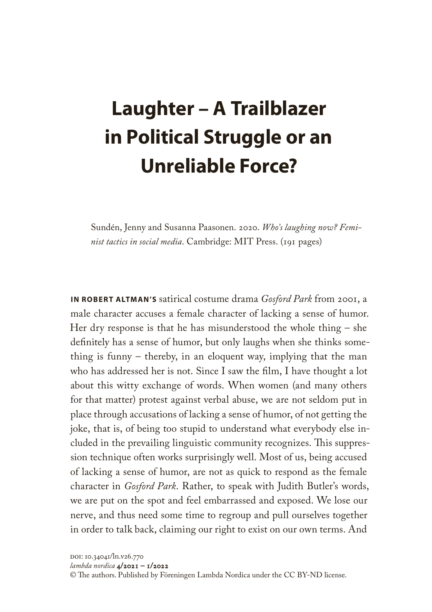## **Laughter – A Trailblazer in Political Struggle or an Unreliable Force?**

Sundén, Jenny and Susanna Paasonen. 2020. *Who's laughing now? Feminist tactics in social media*. Cambridge: MIT Press. (191 pages)

**IN ROBERT ALTMAN'S** satirical costume drama *Gosford Park* from 2001, a male character accuses a female character of lacking a sense of humor. Her dry response is that he has misunderstood the whole thing – she definitely has a sense of humor, but only laughs when she thinks something is funny – thereby, in an eloquent way, implying that the man who has addressed her is not. Since I saw the film, I have thought a lot about this witty exchange of words. When women (and many others for that matter) protest against verbal abuse, we are not seldom put in place through accusations of lacking a sense of humor, of not getting the joke, that is, of being too stupid to understand what everybody else included in the prevailing linguistic community recognizes. This suppression technique often works surprisingly well. Most of us, being accused of lacking a sense of humor, are not as quick to respond as the female character in *Gosford Park*. Rather, to speak with Judith Butler's words, we are put on the spot and feel embarrassed and exposed. We lose our nerve, and thus need some time to regroup and pull ourselves together in order to talk back, claiming our right to exist on our own terms. And

*lambda nordica* 4/2021 – 1/2022

© The authors. Published by Föreningen Lambda Nordica under the CC BY-ND license.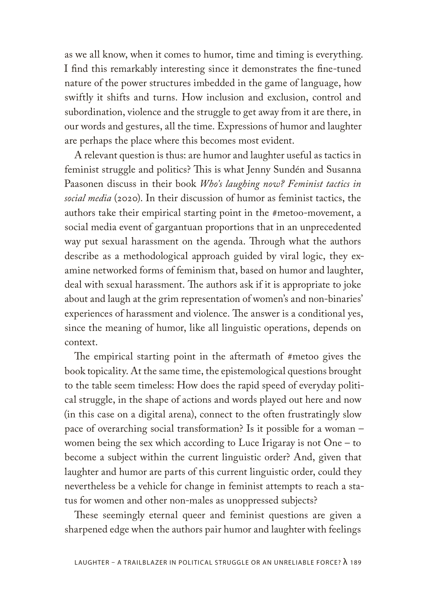as we all know, when it comes to humor, time and timing is everything. I find this remarkably interesting since it demonstrates the fine-tuned nature of the power structures imbedded in the game of language, how swiftly it shifts and turns. How inclusion and exclusion, control and subordination, violence and the struggle to get away from it are there, in our words and gestures, all the time. Expressions of humor and laughter are perhaps the place where this becomes most evident.

A relevant question is thus: are humor and laughter useful as tactics in feminist struggle and politics? This is what Jenny Sundén and Susanna Paasonen discuss in their book *Who's laughing now? Feminist tactics in social media* (2020). In their discussion of humor as feminist tactics, the authors take their empirical starting point in the #metoo-movement, a social media event of gargantuan proportions that in an unprecedented way put sexual harassment on the agenda. Through what the authors describe as a methodological approach guided by viral logic, they examine networked forms of feminism that, based on humor and laughter, deal with sexual harassment. The authors ask if it is appropriate to joke about and laugh at the grim representation of women's and non-binaries' experiences of harassment and violence. The answer is a conditional yes, since the meaning of humor, like all linguistic operations, depends on context.

The empirical starting point in the aftermath of #metoo gives the book topicality. At the same time, the epistemological questions brought to the table seem timeless: How does the rapid speed of everyday political struggle, in the shape of actions and words played out here and now (in this case on a digital arena), connect to the often frustratingly slow pace of overarching social transformation? Is it possible for a woman – women being the sex which according to Luce Irigaray is not One – to become a subject within the current linguistic order? And, given that laughter and humor are parts of this current linguistic order, could they nevertheless be a vehicle for change in feminist attempts to reach a status for women and other non-males as unoppressed subjects?

These seemingly eternal queer and feminist questions are given a sharpened edge when the authors pair humor and laughter with feelings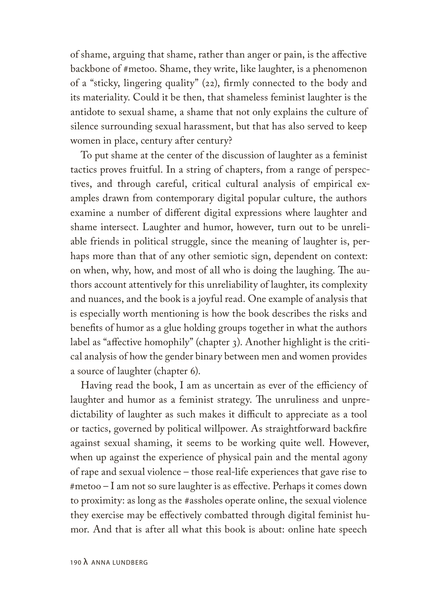of shame, arguing that shame, rather than anger or pain, is the affective backbone of #metoo. Shame, they write, like laughter, is a phenomenon of a "sticky, lingering quality" (22), firmly connected to the body and its materiality. Could it be then, that shameless feminist laughter is the antidote to sexual shame, a shame that not only explains the culture of silence surrounding sexual harassment, but that has also served to keep women in place, century after century?

To put shame at the center of the discussion of laughter as a feminist tactics proves fruitful. In a string of chapters, from a range of perspectives, and through careful, critical cultural analysis of empirical examples drawn from contemporary digital popular culture, the authors examine a number of different digital expressions where laughter and shame intersect. Laughter and humor, however, turn out to be unreliable friends in political struggle, since the meaning of laughter is, perhaps more than that of any other semiotic sign, dependent on context: on when, why, how, and most of all who is doing the laughing. The authors account attentively for this unreliability of laughter, its complexity and nuances, and the book is a joyful read. One example of analysis that is especially worth mentioning is how the book describes the risks and benefits of humor as a glue holding groups together in what the authors label as "affective homophily" (chapter 3). Another highlight is the critical analysis of how the gender binary between men and women provides a source of laughter (chapter 6).

Having read the book, I am as uncertain as ever of the efficiency of laughter and humor as a feminist strategy. The unruliness and unpredictability of laughter as such makes it difficult to appreciate as a tool or tactics, governed by political willpower. As straightforward backfire against sexual shaming, it seems to be working quite well. However, when up against the experience of physical pain and the mental agony of rape and sexual violence – those real-life experiences that gave rise to #metoo – I am not so sure laughter is as effective. Perhaps it comes down to proximity: as long as the #assholes operate online, the sexual violence they exercise may be effectively combatted through digital feminist humor. And that is after all what this book is about: online hate speech